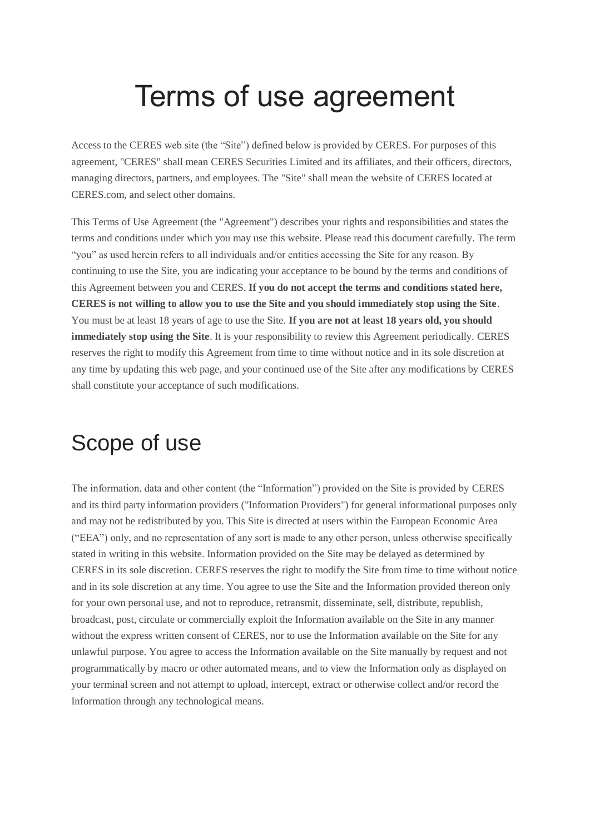# Terms of use agreement

Access to the CERES web site (the "Site") defined below is provided by CERES. For purposes of this agreement, "CERES" shall mean CERES Securities Limited and its affiliates, and their officers, directors, managing directors, partners, and employees. The "Site" shall mean the website of CERES located at CERES.com, and select other domains.

This Terms of Use Agreement (the "Agreement") describes your rights and responsibilities and states the terms and conditions under which you may use this website. Please read this document carefully. The term "you" as used herein refers to all individuals and/or entities accessing the Site for any reason. By continuing to use the Site, you are indicating your acceptance to be bound by the terms and conditions of this Agreement between you and CERES. **If you do not accept the terms and conditions stated here, CERES is not willing to allow you to use the Site and you should immediately stop using the Site**. You must be at least 18 years of age to use the Site. **If you are not at least 18 years old, you should immediately stop using the Site**. It is your responsibility to review this Agreement periodically. CERES reserves the right to modify this Agreement from time to time without notice and in its sole discretion at any time by updating this web page, and your continued use of the Site after any modifications by CERES shall constitute your acceptance of such modifications.

#### Scope of use

The information, data and other content (the "Information") provided on the Site is provided by CERES and its third party information providers ("Information Providers") for general informational purposes only and may not be redistributed by you. This Site is directed at users within the European Economic Area ("EEA") only, and no representation of any sort is made to any other person, unless otherwise specifically stated in writing in this website. Information provided on the Site may be delayed as determined by CERES in its sole discretion. CERES reserves the right to modify the Site from time to time without notice and in its sole discretion at any time. You agree to use the Site and the Information provided thereon only for your own personal use, and not to reproduce, retransmit, disseminate, sell, distribute, republish, broadcast, post, circulate or commercially exploit the Information available on the Site in any manner without the express written consent of CERES, nor to use the Information available on the Site for any unlawful purpose. You agree to access the Information available on the Site manually by request and not programmatically by macro or other automated means, and to view the Information only as displayed on your terminal screen and not attempt to upload, intercept, extract or otherwise collect and/or record the Information through any technological means.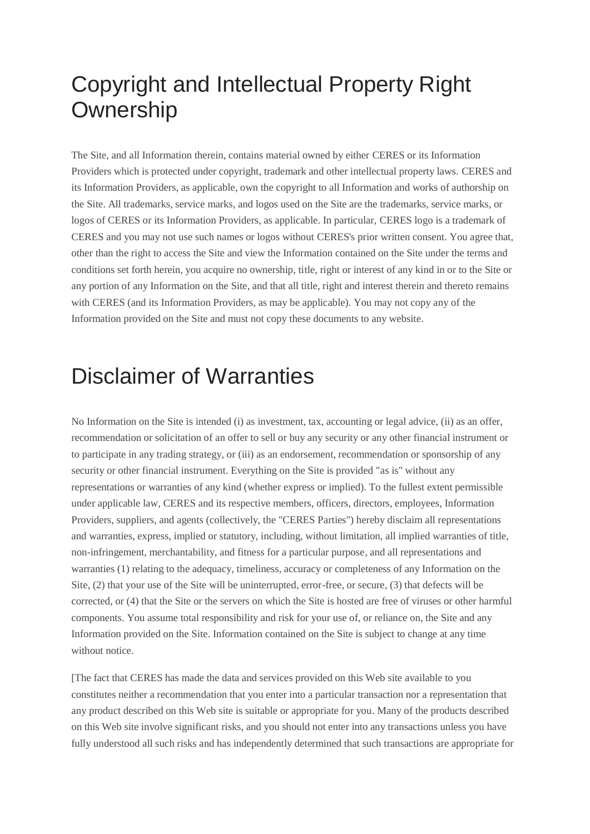#### Copyright and Intellectual Property Right **Ownership**

The Site, and all Information therein, contains material owned by either CERES or its Information Providers which is protected under copyright, trademark and other intellectual property laws. CERES and its Information Providers, as applicable, own the copyright to all Information and works of authorship on the Site. All trademarks, service marks, and logos used on the Site are the trademarks, service marks, or logos of CERES or its Information Providers, as applicable. In particular, CERES logo is a trademark of CERES and you may not use such names or logos without CERES's prior written consent. You agree that, other than the right to access the Site and view the Information contained on the Site under the terms and conditions set forth herein, you acquire no ownership, title, right or interest of any kind in or to the Site or any portion of any Information on the Site, and that all title, right and interest therein and thereto remains with CERES (and its Information Providers, as may be applicable). You may not copy any of the Information provided on the Site and must not copy these documents to any website.

#### Disclaimer of Warranties

No Information on the Site is intended (i) as investment, tax, accounting or legal advice, (ii) as an offer, recommendation or solicitation of an offer to sell or buy any security or any other financial instrument or to participate in any trading strategy, or (iii) as an endorsement, recommendation or sponsorship of any security or other financial instrument. Everything on the Site is provided "as is" without any representations or warranties of any kind (whether express or implied). To the fullest extent permissible under applicable law, CERES and its respective members, officers, directors, employees, Information Providers, suppliers, and agents (collectively, the "CERES Parties") hereby disclaim all representations and warranties, express, implied or statutory, including, without limitation, all implied warranties of title, non-infringement, merchantability, and fitness for a particular purpose, and all representations and warranties (1) relating to the adequacy, timeliness, accuracy or completeness of any Information on the Site, (2) that your use of the Site will be uninterrupted, error-free, or secure, (3) that defects will be corrected, or (4) that the Site or the servers on which the Site is hosted are free of viruses or other harmful components. You assume total responsibility and risk for your use of, or reliance on, the Site and any Information provided on the Site. Information contained on the Site is subject to change at any time without notice.

[The fact that CERES has made the data and services provided on this Web site available to you constitutes neither a recommendation that you enter into a particular transaction nor a representation that any product described on this Web site is suitable or appropriate for you. Many of the products described on this Web site involve significant risks, and you should not enter into any transactions unless you have fully understood all such risks and has independently determined that such transactions are appropriate for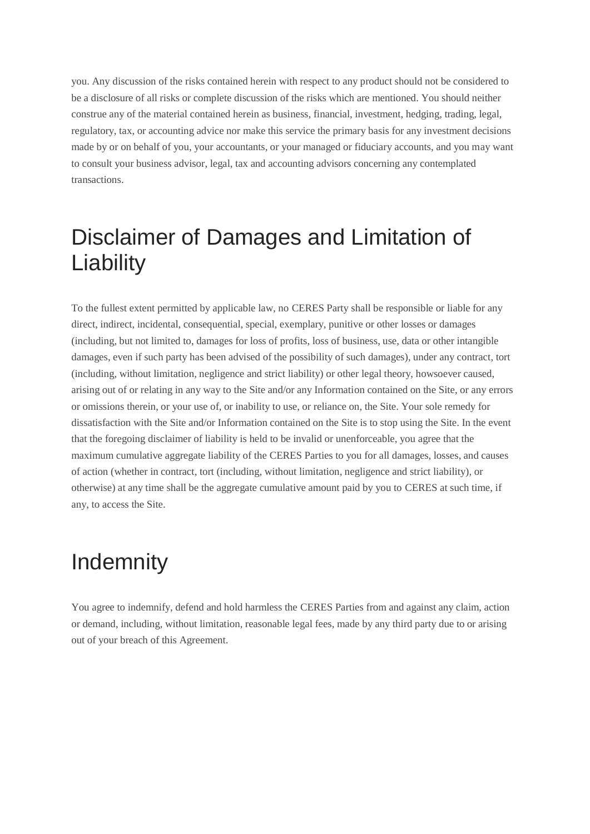you. Any discussion of the risks contained herein with respect to any product should not be considered to be a disclosure of all risks or complete discussion of the risks which are mentioned. You should neither construe any of the material contained herein as business, financial, investment, hedging, trading, legal, regulatory, tax, or accounting advice nor make this service the primary basis for any investment decisions made by or on behalf of you, your accountants, or your managed or fiduciary accounts, and you may want to consult your business advisor, legal, tax and accounting advisors concerning any contemplated transactions.

## Disclaimer of Damages and Limitation of **Liability**

To the fullest extent permitted by applicable law, no CERES Party shall be responsible or liable for any direct, indirect, incidental, consequential, special, exemplary, punitive or other losses or damages (including, but not limited to, damages for loss of profits, loss of business, use, data or other intangible damages, even if such party has been advised of the possibility of such damages), under any contract, tort (including, without limitation, negligence and strict liability) or other legal theory, howsoever caused, arising out of or relating in any way to the Site and/or any Information contained on the Site, or any errors or omissions therein, or your use of, or inability to use, or reliance on, the Site. Your sole remedy for dissatisfaction with the Site and/or Information contained on the Site is to stop using the Site. In the event that the foregoing disclaimer of liability is held to be invalid or unenforceable, you agree that the maximum cumulative aggregate liability of the CERES Parties to you for all damages, losses, and causes of action (whether in contract, tort (including, without limitation, negligence and strict liability), or otherwise) at any time shall be the aggregate cumulative amount paid by you to CERES at such time, if any, to access the Site.

#### **Indemnity**

You agree to indemnify, defend and hold harmless the CERES Parties from and against any claim, action or demand, including, without limitation, reasonable legal fees, made by any third party due to or arising out of your breach of this Agreement.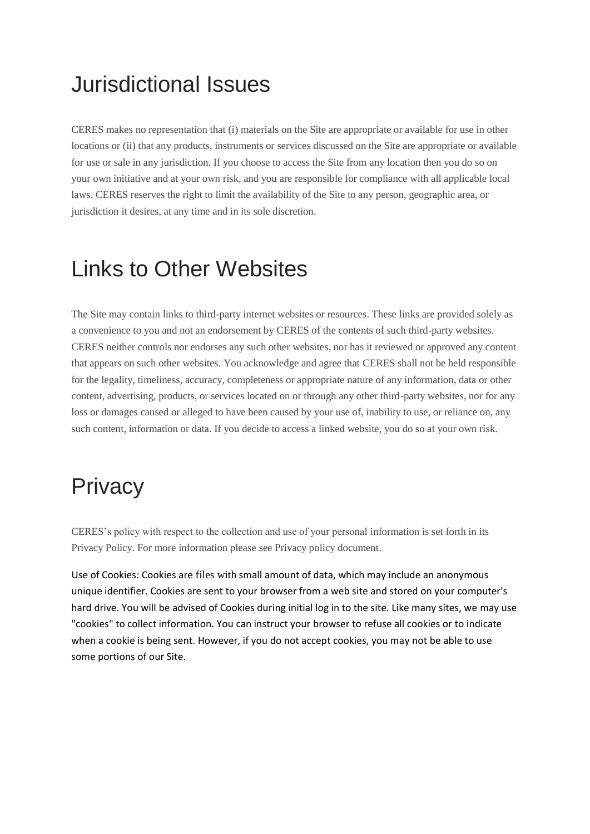## Jurisdictional Issues

CERES makes no representation that (i) materials on the Site are appropriate or available for use in other locations or (ii) that any products, instruments or services discussed on the Site are appropriate or available for use or sale in any jurisdiction. If you choose to access the Site from any location then you do so on your own initiative and at your own risk, and you are responsible for compliance with all applicable local laws. CERES reserves the right to limit the availability of the Site to any person, geographic area, or jurisdiction it desires, at any time and in its sole discretion.

#### Links to Other Websites

The Site may contain links to third-party internet websites or resources. These links are provided solely as a convenience to you and not an endorsement by CERES of the contents of such third-party websites. CERES neither controls nor endorses any such other websites, nor has it reviewed or approved any content that appears on such other websites. You acknowledge and agree that CERES shall not be held responsible for the legality, timeliness, accuracy, completeness or appropriate nature of any information, data or other content, advertising, products, or services located on or through any other third-party websites, nor for any loss or damages caused or alleged to have been caused by your use of, inability to use, or reliance on, any such content, information or data. If you decide to access a linked website, you do so at your own risk.

## **Privacy**

CERES's policy with respect to the collection and use of your personal information is set forth in its Privacy Policy. For more information please see Privacy policy document.

Use of Cookies: Cookies are files with small amount of data, which may include an anonymous unique identifier. Cookies are sent to your browser from a web site and stored on your computer's hard drive. You will be advised of Cookies during initial log in to the site. Like many sites, we may use "cookies" to collect information. You can instruct your browser to refuse all cookies or to indicate when a cookie is being sent. However, if you do not accept cookies, you may not be able to use some portions of our Site.